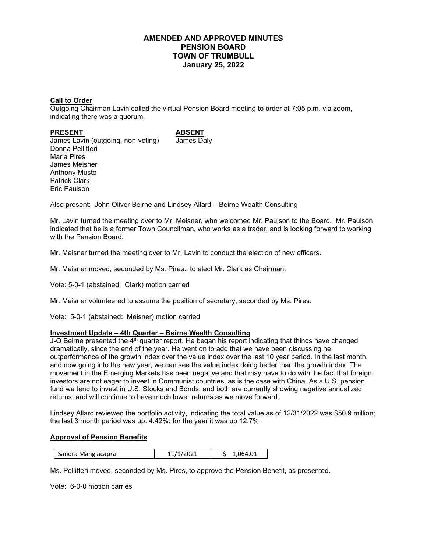# **AMENDED AND APPROVED MINUTES PENSION BOARD TOWN OF TRUMBULL January 25, 2022**

## **Call to Order**

Outgoing Chairman Lavin called the virtual Pension Board meeting to order at 7:05 p.m. via zoom, indicating there was a quorum.

#### PRESENT ABSENT

James Lavin (outgoing, non-voting) James Daly Donna Pellitteri Maria Pires James Meisner Anthony Musto Patrick Clark Eric Paulson

Also present: John Oliver Beirne and Lindsey Allard – Beirne Wealth Consulting

Mr. Lavin turned the meeting over to Mr. Meisner, who welcomed Mr. Paulson to the Board. Mr. Paulson indicated that he is a former Town Councilman, who works as a trader, and is looking forward to working with the Pension Board.

Mr. Meisner turned the meeting over to Mr. Lavin to conduct the election of new officers.

Mr. Meisner moved, seconded by Ms. Pires., to elect Mr. Clark as Chairman.

Vote: 5-0-1 (abstained: Clark) motion carried

Mr. Meisner volunteered to assume the position of secretary, seconded by Ms. Pires.

Vote: 5-0-1 (abstained: Meisner) motion carried

### **Investment Update – 4th Quarter – Beirne Wealth Consulting**

J-O Beirne presented the 4<sup>th</sup> quarter report. He began his report indicating that things have changed dramatically, since the end of the year. He went on to add that we have been discussing he outperformance of the growth index over the value index over the last 10 year period. In the last month, and now going into the new year, we can see the value index doing better than the growth index. The movement in the Emerging Markets has been negative and that may have to do with the fact that foreign investors are not eager to invest in Communist countries, as is the case with China. As a U.S. pension fund we tend to invest in U.S. Stocks and Bonds, and both are currently showing negative annualized returns, and will continue to have much lower returns as we move forward.

Lindsey Allard reviewed the portfolio activity, indicating the total value as of 12/31/2022 was \$50.9 million; the last 3 month period was up. 4.42%: for the year it was up 12.7%.

### **Approval of Pension Benefits**

Ms. Pellitteri moved, seconded by Ms. Pires, to approve the Pension Benefit, as presented.

Vote: 6-0-0 motion carries